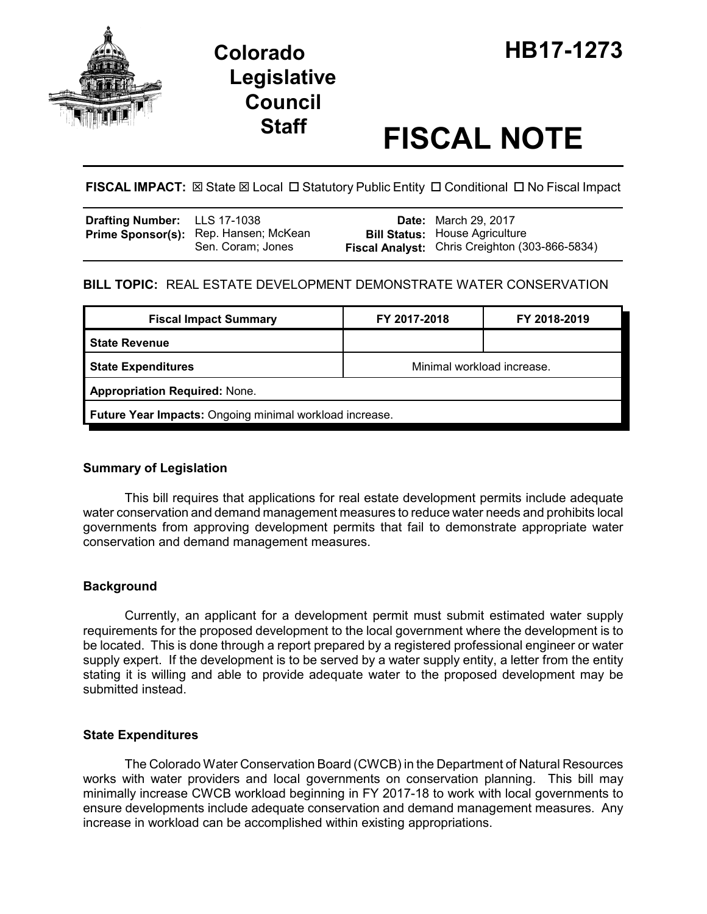

# **Legislative Council**

# **Staff FISCAL NOTE**

**FISCAL IMPACT:**  $\boxtimes$  **State**  $\boxtimes$  **Local □ Statutory Public Entity □ Conditional □ No Fiscal Impact** 

| Drafting Number: LLS 17-1038 |                                                            | <b>Date:</b> March 29, 2017                                                             |
|------------------------------|------------------------------------------------------------|-----------------------------------------------------------------------------------------|
|                              | Prime Sponsor(s): Rep. Hansen; McKean<br>Sen. Coram; Jones | <b>Bill Status: House Agriculture</b><br>Fiscal Analyst: Chris Creighton (303-866-5834) |

# **BILL TOPIC:** REAL ESTATE DEVELOPMENT DEMONSTRATE WATER CONSERVATION

| <b>Fiscal Impact Summary</b>                            | FY 2017-2018               | FY 2018-2019 |  |  |  |
|---------------------------------------------------------|----------------------------|--------------|--|--|--|
| <b>State Revenue</b>                                    |                            |              |  |  |  |
| <b>State Expenditures</b>                               | Minimal workload increase. |              |  |  |  |
| <b>Appropriation Required: None.</b>                    |                            |              |  |  |  |
| Future Year Impacts: Ongoing minimal workload increase. |                            |              |  |  |  |

## **Summary of Legislation**

This bill requires that applications for real estate development permits include adequate water conservation and demand management measures to reduce water needs and prohibits local governments from approving development permits that fail to demonstrate appropriate water conservation and demand management measures.

## **Background**

Currently, an applicant for a development permit must submit estimated water supply requirements for the proposed development to the local government where the development is to be located. This is done through a report prepared by a registered professional engineer or water supply expert. If the development is to be served by a water supply entity, a letter from the entity stating it is willing and able to provide adequate water to the proposed development may be submitted instead.

#### **State Expenditures**

The Colorado Water Conservation Board (CWCB) in the Department of Natural Resources works with water providers and local governments on conservation planning. This bill may minimally increase CWCB workload beginning in FY 2017-18 to work with local governments to ensure developments include adequate conservation and demand management measures. Any increase in workload can be accomplished within existing appropriations.